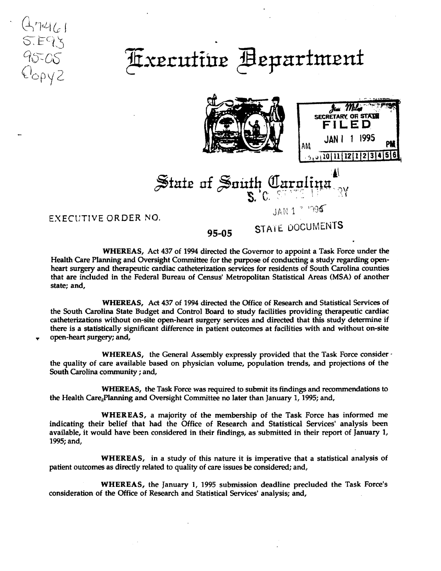## Axecutive Bepartment



JAN 1 - 1995

State of South Carolina

EXECUTIVE ORDER NO.

 $4461$  $S.EZ$ 

95-05

 $C_{\text{opyZ}}$ 

95-05 STATE DOCUMENTS

WHEREAS, Act 437 of 1994 directed the Governor to appoint a Task Force under the Health Care Planning and Oversight Committee for the purpose of conducting a study regarding openheart surgery and therapeutic cardiac catheterization services for residents of South Carolina counties that are included in the Federal Bureau of Census' Metropolitan Statistical Areas (MSA) of another state; and,

WHEREAS, Act 437 of 1994 directed the Office of Research and Statistical Services of the South Carolina State Budget and Control Board to study facilities providing therapeutic cardiac catheterizations without on-site open-heart surgery services and directed that this study determine if there is a statistically significant difference in patient outcomes at facilities with and without on-site open-heart surgery; and,

WHEREAS, the General Assembly expressly provided that the Task Force consider  $\cdot$ the quality of care available based on physician volume, population trends, and projections of the South Carolina community ; and,

WHEREAS, the Task Force was required to submit its findings and recommendations to the Health Care<sub>z</sub>Planning and Oversight Committee no later than January 1, 1995; and,

WHEREAS, a majority of the membership of the Task Force has informed me indicating their belief that had the Office of Research and Statistical Services' analysis been available, it would have been considered in their findings, as submitted in their report of January 1, 1995; and,

WHEREAS, in a study of this nature it is imperative that a statistical analysis of patient outcomes as directly related to quality of care issues be considered; and,

WHEREAS, the January 1, 1995 submission deadline precluded the Task Force's consideration of the Office of Research and Statistical Services' analysis; and,